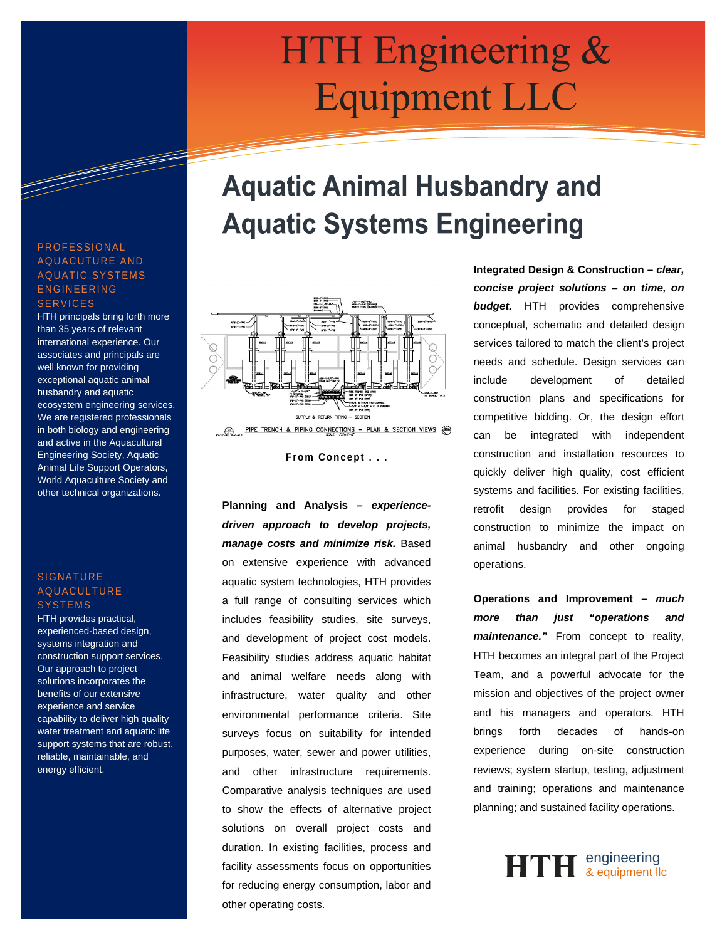# HTH Engineering & **Equipment LLC**

## **Aquatic Animal Husbandry and Aquatic Systems Engineering**



**From Concept . . .**

**Planning and Analysis –** *experiencedriven approach to develop projects, manage costs and minimize risk.* Based on extensive experience with advanced aquatic system technologies, HTH provides a full range of consulting services which includes feasibility studies, site surveys, and development of project cost models. Feasibility studies address aquatic habitat and animal welfare needs along with infrastructure, water quality and other environmental performance criteria. Site surveys focus on suitability for intended purposes, water, sewer and power utilities, and other infrastructure requirements. Comparative analysis techniques are used to show the effects of alternative project solutions on overall project costs and duration. In existing facilities, process and facility assessments focus on opportunities for reducing energy consumption, labor and other operating costs.

**Integrated Design & Construction –** *clear, concise project solutions – on time, on budget.* HTH provides comprehensive conceptual, schematic and detailed design services tailored to match the client's project needs and schedule. Design services can include development of detailed construction plans and specifications for competitive bidding. Or, the design effort can be integrated with independent construction and installation resources to quickly deliver high quality, cost efficient systems and facilities. For existing facilities, retrofit design provides for staged construction to minimize the impact on animal husbandry and other ongoing operations.

**Operations and Improvement –** *much more than just "operations and maintenance."* From concept to reality, HTH becomes an integral part of the Project Team, and a powerful advocate for the mission and objectives of the project owner and his managers and operators. HTH brings forth decades of hands-on experience during on-site construction reviews; system startup, testing, adjustment and training; operations and maintenance planning; and sustained facility operations.



#### PROFESSIONAL AQUACUTURE AND AQUATIC SYSTEMS ENGINEERING **SERVICES**

HTH principals bring forth more than 35 years of relevant international experience. Our associates and principals are well known for providing exceptional aquatic animal husbandry and aquatic ecosystem engineering services. We are registered professionals in both biology and engineering and active in the Aquacultural Engineering Society, Aquatic Animal Life Support Operators, World Aquaculture Society and other technical organizations.

#### **SIGNATURE** AQUACULTURE **SYSTEMS**

HTH provides practical, experienced-based design, systems integration and construction support services. Our approach to project solutions incorporates the benefits of our extensive experience and service capability to deliver high quality water treatment and aquatic life support systems that are robust, reliable, maintainable, and energy efficient.